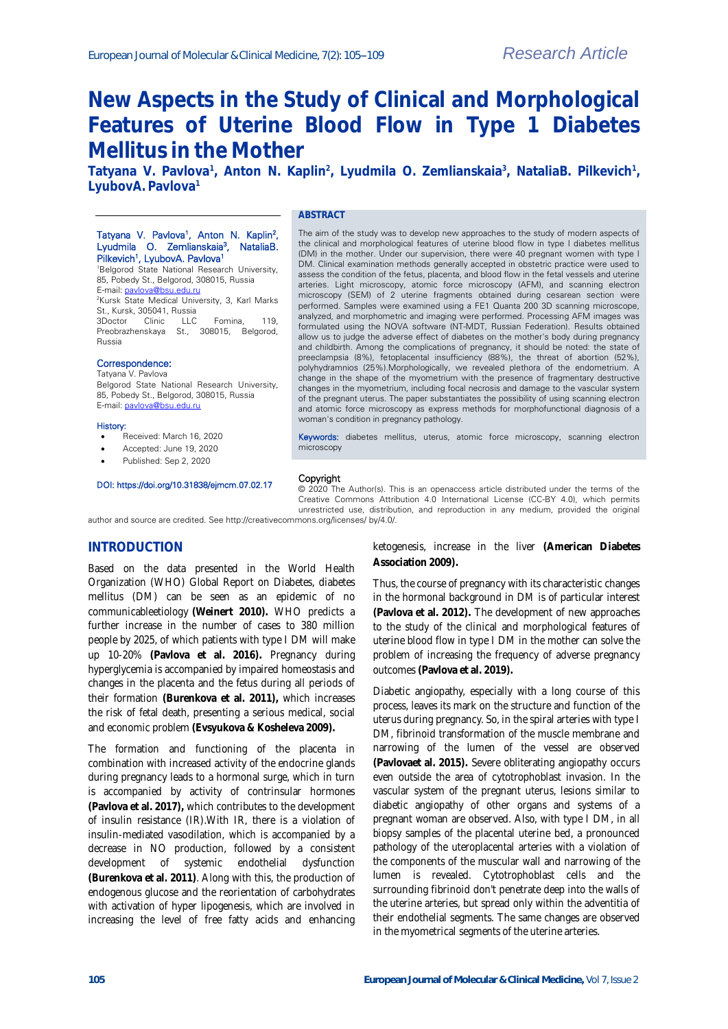# **New Aspects in the Study of Clinical and Morphological Features of Uterine Blood Flow in Type 1 Diabetes Mellitus in the Mother**

Tatyana V. Pavlova<sup>1</sup>, Anton N. Kaplin<sup>2</sup>, Lyudmila O. Zemlianskaia<sup>3</sup>, NataliaB. Pilkevich<sup>1</sup>, **LyubovA. Pavlova<sup>1</sup>**

# Tatyana V. Pavlova<sup>1</sup>, Anton N. Kaplin<sup>2</sup>, Lyudmila O. Zemlianskaia<sup>3</sup>, NataliaB.

#### **ABSTRACT**

Pilkevich<sup>1</sup>, LyubovA. Pavlova<sup>1</sup> <sup>1</sup>Belgorod State National Research University, 85, Pobedy St., Belgorod, 308015, Russia E-mail[: pavlova@bsu.edu.ru](mailto:pavlova@bsu.edu.ru)

<sup>2</sup>Kursk State Medical University, 3, Karl Marks St., Kursk, 305041, Russia<br>3Doctor Clinic LLC Clinic LLC Fomina, 119, Preobrazhenskaya St., 308015, Belgorod, Russia

#### Correspondence:

Tatyana V. Pavlova Belgorod State National Research University, 85, Pobedy St., Belgorod, 308015, Russia E-mail[: pavlova@bsu.edu.ru](mailto:pavlova@bsu.edu.ru)

#### History:

- Received: March 16, 2020
- Accepted: June 19, 2020
- Published: Sep 2, 2020

#### DOI: https://doi.org/10.31838/ejmcm.07.02.17

The aim of the study was to develop new approaches to the study of modern aspects of the clinical and morphological features of uterine blood flow in type I diabetes mellitus (DM) in the mother. Under our supervision, there were 40 pregnant women with type I DM. Clinical examination methods generally accepted in obstetric practice were used to assess the condition of the fetus, placenta, and blood flow in the fetal vessels and uterine arteries. Light microscopy, atomic force microscopy (AFM), and scanning electron microscopy (SEM) of 2 uterine fragments obtained during cesarean section were performed. Samples were examined using a FE1 Quanta 200 3D scanning microscope, analyzed, and morphometric and imaging were performed. Processing AFM images was formulated using the NOVA software (NT-MDT, Russian Federation). Results obtained allow us to judge the adverse effect of diabetes on the mother's body during pregnancy and childbirth. Among the complications of pregnancy, it should be noted: the state of preeclampsia (8%), fetoplacental insufficiency (88%), the threat of abortion (52%), polyhydramnios (25%).Morphologically, we revealed plethora of the endometrium. A change in the shape of the myometrium with the presence of fragmentary destructive changes in the myometrium, including focal necrosis and damage to the vascular system of the pregnant uterus. The paper substantiates the possibility of using scanning electron and atomic force microscopy as express methods for morphofunctional diagnosis of a woman's condition in pregnancy pathology.

Keywords: diabetes mellitus, uterus, atomic force microscopy, scanning electron microscopy

#### Copyright

© 2020 The Author(s). This is an openaccess article distributed under the terms of the Creative Commons Attribution 4.0 International License (CC-BY 4.0), which permits unrestricted use, distribution, and reproduction in any medium, provided the original

author and source are credited. See http://creativecommons.org/licenses/ by/4.0/.

# **INTRODUCTION**

Based on the data presented in the World Health Organization (WHO) Global Report on Diabetes, diabetes mellitus (DM) can be seen as an epidemic of no communicableetiology **(Weinert 2010).** WHO predicts a further increase in the number of cases to 380 million people by 2025, of which patients with type I DM will make up 10-20% **(Pavlova et al. 2016).** Pregnancy during hyperglycemia is accompanied by impaired homeostasis and changes in the placenta and the fetus during all periods of their formation **(Burenkova et al. 2011),** which increases the risk of fetal death, presenting a serious medical, social and economic problem **(Evsyukova & Kosheleva 2009).**

The formation and functioning of the placenta in combination with increased activity of the endocrine glands during pregnancy leads to a hormonal surge, which in turn is accompanied by activity of contrinsular hormones **(Pavlova et al. 2017),** which contributes to the development of insulin resistance (IR).With IR, there is a violation of insulin-mediated vasodilation, which is accompanied by a decrease in NO production, followed by a consistent development of systemic endothelial dysfunction **(Burenkova et al. 2011)**. Along with this, the production of endogenous glucose and the reorientation of carbohydrates with activation of hyper lipogenesis, which are involved in increasing the level of free fatty acids and enhancing

ketogenesis, increase in the liver **(American Diabetes Association 2009).**

Thus, the course of pregnancy with its characteristic changes in the hormonal background in DM is of particular interest **(Pavlova et al. 2012).** The development of new approaches to the study of the clinical and morphological features of uterine blood flow in type I DM in the mother can solve the problem of increasing the frequency of adverse pregnancy outcomes **(Pavlova et al. 2019).**

Diabetic angiopathy, especially with a long course of this process, leaves its mark on the structure and function of the uterus during pregnancy. So, in the spiral arteries with type I DM, fibrinoid transformation of the muscle membrane and narrowing of the lumen of the vessel are observed **(Pavlovaet al. 2015).** Severe obliterating angiopathy occurs even outside the area of cytotrophoblast invasion. In the vascular system of the pregnant uterus, lesions similar to diabetic angiopathy of other organs and systems of a pregnant woman are observed. Also, with type I DM, in all biopsy samples of the placental uterine bed, a pronounced pathology of the uteroplacental arteries with a violation of the components of the muscular wall and narrowing of the lumen is revealed. Cytotrophoblast cells and the surrounding fibrinoid don't penetrate deep into the walls of the uterine arteries, but spread only within the adventitia of their endothelial segments. The same changes are observed in the myometrical segments of the uterine arteries.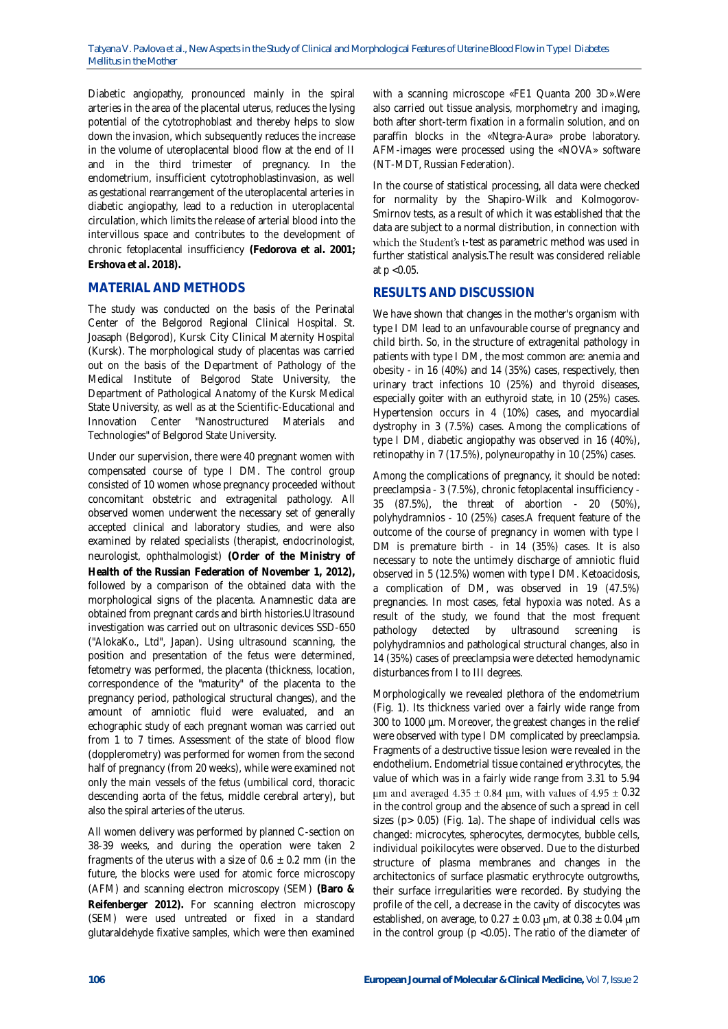Diabetic angiopathy, pronounced mainly in the spiral arteries in the area of the placental uterus, reduces the lysing potential of the cytotrophoblast and thereby helps to slow down the invasion, which subsequently reduces the increase in the volume of uteroplacental blood flow at the end of II and in the third trimester of pregnancy. In the endometrium, insufficient cytotrophoblastinvasion, as well as gestational rearrangement of the uteroplacental arteries in diabetic angiopathy, lead to a reduction in uteroplacental circulation, which limits the release of arterial blood into the intervillous space and contributes to the development of chronic fetoplacental insufficiency **(Fedorova et al. 2001; Ershova et al. 2018).**

### **MATERIAL AND METHODS**

The study was conducted on the basis of the Perinatal Center of the Belgorod Regional Clinical Hospital. St. Joasaph (Belgorod), Kursk City Clinical Maternity Hospital (Kursk). The morphological study of placentas was carried out on the basis of the Department of Pathology of the Medical Institute of Belgorod State University, the Department of Pathological Anatomy of the Kursk Medical State University, as well as at the Scientific-Educational and Innovation Center "Nanostructured Materials and Technologies" of Belgorod State University.

Under our supervision, there were 40 pregnant women with compensated course of type I DM. The control group consisted of 10 women whose pregnancy proceeded without concomitant obstetric and extragenital pathology. All observed women underwent the necessary set of generally accepted clinical and laboratory studies, and were also examined by related specialists (therapist, endocrinologist, neurologist, ophthalmologist) **(Order of the Ministry of Health of the Russian Federation of November 1, 2012),** followed by a comparison of the obtained data with the morphological signs of the placenta. Anamnestic data are obtained from pregnant cards and birth histories.Ultrasound investigation was carried out on ultrasonic devices SSD-650 ("AlokaKo., Ltd", Japan). Using ultrasound scanning, the position and presentation of the fetus were determined, fetometry was performed, the placenta (thickness, location, correspondence of the "maturity" of the placenta to the pregnancy period, pathological structural changes), and the amount of amniotic fluid were evaluated, and an echographic study of each pregnant woman was carried out from 1 to 7 times. Assessment of the state of blood flow (dopplerometry) was performed for women from the second half of pregnancy (from 20 weeks), while were examined not only the main vessels of the fetus (umbilical cord, thoracic descending aorta of the fetus, middle cerebral artery), but also the spiral arteries of the uterus.

All women delivery was performed by planned C-section on 38-39 weeks, and during the operation were taken 2 fragments of the uterus with a size of  $0.6 \pm 0.2$  mm (in the future, the blocks were used for atomic force microscopy (AFM) and scanning electron microscopy (SEM) **(Baro & Reifenberger 2012).** For scanning electron microscopy (SEM) were used untreated or fixed in a standard glutaraldehyde fixative samples, which were then examined

with a scanning microscope «FE1 Quanta 200 3D».Were also carried out tissue analysis, morphometry and imaging, both after short-term fixation in a formalin solution, and on paraffin blocks in the «Ntegra-Aura» probe laboratory. AFM-images were processed using the «NOVA» software (NT-MDT, Russian Federation).

In the course of statistical processing, all data were checked for normality by the Shapiro-Wilk and Kolmogorov-Smirnov tests, as a result of which it was established that the data are subject to a normal distribution, in connection with which the Student's t-test as parametric method was used in further statistical analysis.The result was considered reliable at p <0.05.

# **RESULTS AND DISCUSSION**

We have shown that changes in the mother's organism with type I DM lead to an unfavourable course of pregnancy and child birth. So, in the structure of extragenital pathology in patients with type I DM, the most common are: anemia and obesity - in 16 (40%) and 14 (35%) cases, respectively, then urinary tract infections 10 (25%) and thyroid diseases, especially goiter with an euthyroid state, in 10 (25%) cases. Hypertension occurs in 4 (10%) cases, and myocardial dystrophy in 3 (7.5%) cases. Among the complications of type I DM, diabetic angiopathy was observed in 16 (40%), retinopathy in 7 (17.5%), polyneuropathy in 10 (25%) cases.

Among the complications of pregnancy, it should be noted: preeclampsia - 3 (7.5%), chronic fetoplacental insufficiency - 35 (87.5%), the threat of abortion - 20 (50%), polyhydramnios - 10 (25%) cases.A frequent feature of the outcome of the course of pregnancy in women with type I DM is premature birth - in 14 (35%) cases. It is also necessary to note the untimely discharge of amniotic fluid observed in 5 (12.5%) women with type I DM. Ketoacidosis, a complication of DM, was observed in 19 (47.5%) pregnancies. In most cases, fetal hypoxia was noted. As a result of the study, we found that the most frequent pathology detected by ultrasound screening is polyhydramnios and pathological structural changes, also in 14 (35%) cases of preeclampsia were detected hemodynamic disturbances from I to III degrees.

Morphologically we revealed plethora of the endometrium (Fig. 1). Its thickness varied over a fairly wide range from 300 to 1000 µm. Moreover, the greatest changes in the relief were observed with type I DM complicated by preeclampsia. Fragments of a destructive tissue lesion were revealed in the endothelium. Endometrial tissue contained erythrocytes, the value of which was in a fairly wide range from 3.31 to 5.94  $\mu$ m and averaged 4.35 ± 0.84  $\mu$ m, with values of 4.95 ± 0.32 in the control group and the absence of such a spread in cell sizes (p> 0.05) (Fig. 1a). The shape of individual cells was changed: microcytes, spherocytes, dermocytes, bubble cells, individual poikilocytes were observed. Due to the disturbed structure of plasma membranes and changes in the architectonics of surface plasmatic erythrocyte outgrowths, their surface irregularities were recorded. By studying the profile of the cell, a decrease in the cavity of discocytes was established, on average, to 0.27  $\pm$  0.03  $\mu$ m, at 0.38  $\pm$  0.04  $\mu$ m in the control group ( $p$  < 0.05). The ratio of the diameter of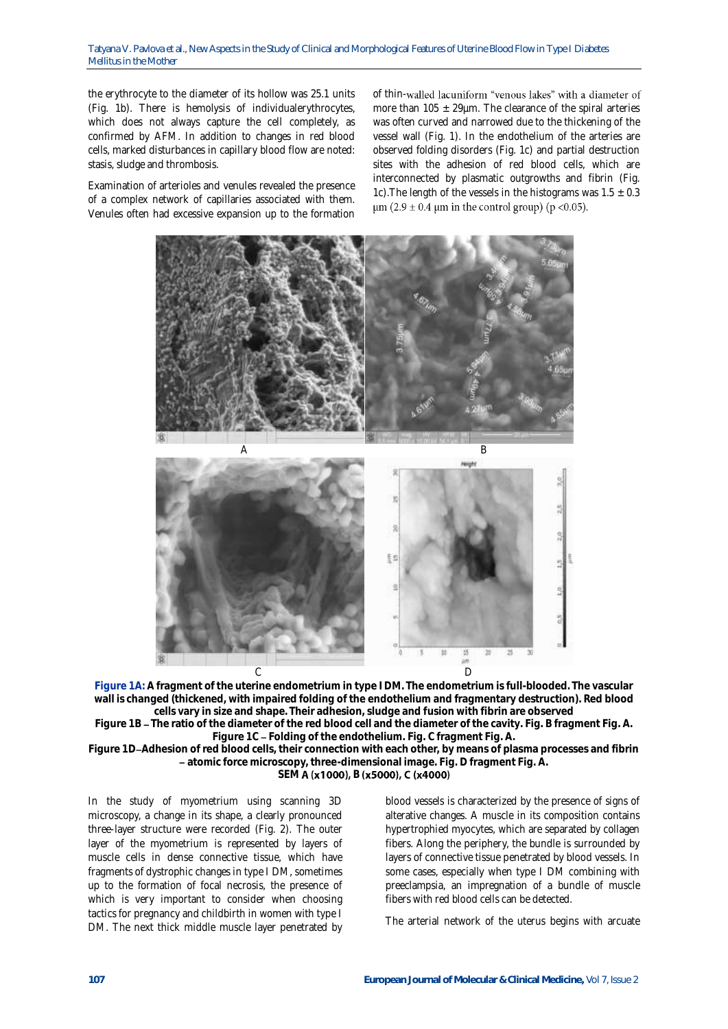the erythrocyte to the diameter of its hollow was 25.1 units (Fig. 1b). There is hemolysis of individualerythrocytes, which does not always capture the cell completely, as confirmed by AFM. In addition to changes in red blood cells, marked disturbances in capillary blood flow are noted: stasis, sludge and thrombosis.

Examination of arterioles and venules revealed the presence of a complex network of capillaries associated with them. Venules often had excessive expansion up to the formation

of thin-walled lacuniform "venous lakes" with a diameter of more than 105  $\pm$  29µm. The clearance of the spiral arteries was often curved and narrowed due to the thickening of the vessel wall (Fig. 1). In the endothelium of the arteries are observed folding disorders (Fig. 1c) and partial destruction sites with the adhesion of red blood cells, which are interconnected by plasmatic outgrowths and fibrin (Fig. 1c). The length of the vessels in the histograms was  $1.5 \pm 0.3$  $\mu$ m (2.9 ± 0.4  $\mu$ m in the control group) (p <0.05).



**Figure 1A: A fragment of the uterine endometrium in type I DM. The endometrium is full-blooded. The vascular wall is changed (thickened, with impaired folding of the endothelium and fragmentary destruction). Red blood cells vary in size and shape. Their adhesion, sludge and fusion with fibrin are observed**

Figure 1B - The ratio of the diameter of the red blood cell and the diameter of the cavity. Fig. B fragment Fig. A. **Figure 1C Folding of the endothelium. Fig. C fragment Fig. A.**

**Figure 1D Adhesion of red blood cells, their connection with each other, by means of plasma processes and fibrin atomic force microscopy, three-dimensional image. Fig. D fragment Fig. A.**

### SEM **A** (x1000), B (x5000), C (x4000)

In the study of myometrium using scanning 3D microscopy, a change in its shape, a clearly pronounced three-layer structure were recorded (Fig. 2). The outer layer of the myometrium is represented by layers of muscle cells in dense connective tissue, which have fragments of dystrophic changes in type I DM, sometimes up to the formation of focal necrosis, the presence of which is very important to consider when choosing tactics for pregnancy and childbirth in women with type I DM. The next thick middle muscle layer penetrated by blood vessels is characterized by the presence of signs of alterative changes. A muscle in its composition contains hypertrophied myocytes, which are separated by collagen fibers. Along the periphery, the bundle is surrounded by layers of connective tissue penetrated by blood vessels. In some cases, especially when type I DM combining with preeclampsia, an impregnation of a bundle of muscle fibers with red blood cells can be detected.

The arterial network of the uterus begins with arcuate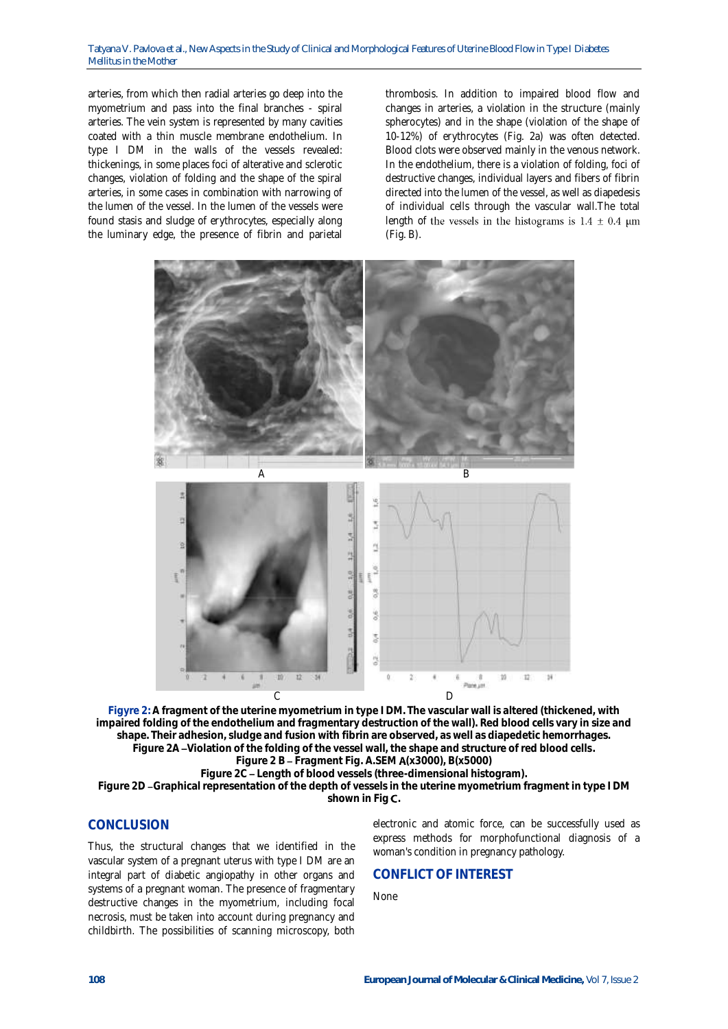arteries, from which then radial arteries go deep into the myometrium and pass into the final branches - spiral arteries. The vein system is represented by many cavities coated with a thin muscle membrane endothelium. In type I DM in the walls of the vessels revealed: thickenings, in some places foci of alterative and sclerotic changes, violation of folding and the shape of the spiral arteries, in some cases in combination with narrowing of the lumen of the vessel. In the lumen of the vessels were found stasis and sludge of erythrocytes, especially along the luminary edge, the presence of fibrin and parietal

thrombosis. In addition to impaired blood flow and changes in arteries, a violation in the structure (mainly spherocytes) and in the shape (violation of the shape of 10-12%) of erythrocytes (Fig. 2a) was often detected. Blood clots were observed mainly in the venous network. In the endothelium, there is a violation of folding, foci of destructive changes, individual layers and fibers of fibrin directed into the lumen of the vessel, as well as diapedesis of individual cells through the vascular wall.The total length of the vessels in the histograms is  $1.4 \pm 0.4 \mu m$ (Fig. B).



**Figyre 2: A fragment of the uterine myometrium in type I DM. The vascular wall is altered (thickened, with impaired folding of the endothelium and fragmentary destruction of the wall). Red blood cells vary in size and shape. Their adhesion, sludge and fusion with fibrin are observed, as well as diapedetic hemorrhages. Figure 2A Violation of the folding of the vessel wall, the shape and structure of red blood cells. Figure 2 B Fragment Fig. A.SEM (x3000), B(x5000)**

**Figure 2C Length of blood vessels (three-dimensional histogram).**

**Figure 2D Graphical representation of the depth of vessels in the uterine myometrium fragment in type I DM shown in Fig .**

## **CONCLUSION**

Thus, the structural changes that we identified in the vascular system of a pregnant uterus with type I DM are an integral part of diabetic angiopathy in other organs and systems of a pregnant woman. The presence of fragmentary destructive changes in the myometrium, including focal necrosis, must be taken into account during pregnancy and childbirth. The possibilities of scanning microscopy, both

electronic and atomic force, can be successfully used as express methods for morphofunctional diagnosis of a woman's condition in pregnancy pathology.

#### **CONFLICT OF INTEREST**

None